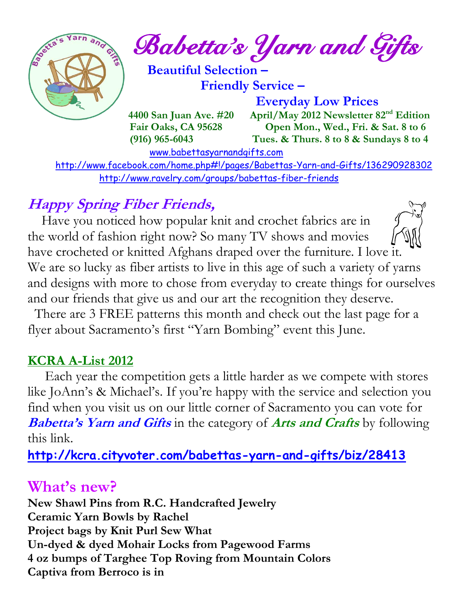

*Babetta's Yarn and Gifts* 

 **Beautiful Selection – Friendly Service –**

 **Everyday Low Prices**

 **4400 San Juan Ave. #20 April/May 2012 Newsletter 82<sup>nd</sup> Edition Fair Oaks, CA 95628 Open Mon., Wed., Fri. & Sat. 8 to 6 (916) 965-6043 Tues. & Thurs. 8 to 8 & Sundays 8 to 4** 

[www.babettasyarnandgifts.com](http://www.babettasyarnandgifts.com/)

 <http://www.facebook.com/home.php#!/pages/Babettas-Yarn-and-Gifts/136290928302> <http://www.ravelry.com/groups/babettas-fiber-friends>

## **Happy Spring Fiber Friends,**

Have you noticed how popular knit and crochet fabrics are in the world of fashion right now? So many TV shows and movies have crocheted or knitted Afghans draped over the furniture. I love it. We are so lucky as fiber artists to live in this age of such a variety of yarns and designs with more to chose from everyday to create things for ourselves and our friends that give us and our art the recognition they deserve.

 There are 3 FREE patterns this month and check out the last page for a flyer about Sacramento's first "Yarn Bombing" event this June.

### **KCRA A-List 2012**

 Each year the competition gets a little harder as we compete with stores like JoAnn's & Michael's. If you're happy with the service and selection you find when you visit us on our little corner of Sacramento you can vote for **Babetta's Yarn and Gifts** in the category of **Arts and Crafts** by following this link.

**<http://kcra.cityvoter.com/babettas-yarn-and-gifts/biz/28413>**

## **What's new?**

**New Shawl Pins from R.C. Handcrafted Jewelry Ceramic Yarn Bowls by Rachel Project bags by Knit Purl Sew What Un-dyed & dyed Mohair Locks from Pagewood Farms 4 oz bumps of Targhee Top Roving from Mountain Colors Captiva from Berroco is in**

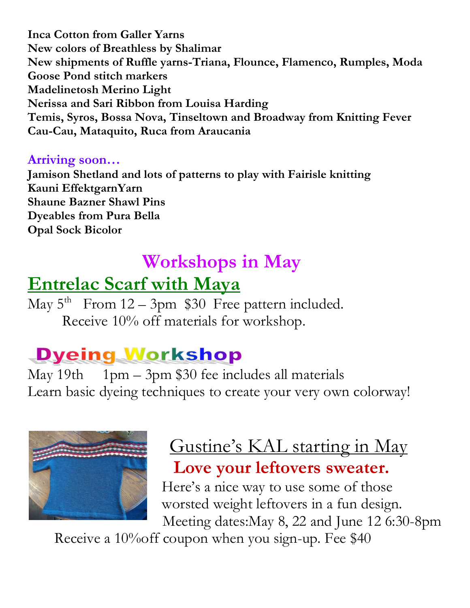**Inca Cotton from Galler Yarns New colors of Breathless by Shalimar New shipments of Ruffle yarns-Triana, Flounce, Flamenco, Rumples, Moda Goose Pond stitch markers Madelinetosh Merino Light Nerissa and Sari Ribbon from Louisa Harding Temis, Syros, Bossa Nova, Tinseltown and Broadway from Knitting Fever Cau-Cau, Mataquito, Ruca from Araucania**

#### **Arriving soon…**

**Jamison Shetland and lots of patterns to play with Fairisle knitting Kauni EffektgarnYarn Shaune Bazner Shawl Pins Dyeables from Pura Bella Opal Sock Bicolor**

## **Workshops in May**

## **Entrelac Scarf with Maya**

May  $5^{\text{th}}$  From  $12 - 3$ pm \$30 Free pattern included. Receive 10% off materials for workshop.

# **Dyeing Workshop**

May 19th 1pm – 3pm \$30 fee includes all materials Learn basic dyeing techniques to create your very own colorway!



## Gustine's KAL starting in May **Love your leftovers sweater.**

 Here's a nice way to use some of those worsted weight leftovers in a fun design. Meeting dates:May 8, 22 and June 12 6:30-8pm

Receive a 10%off coupon when you sign-up. Fee \$40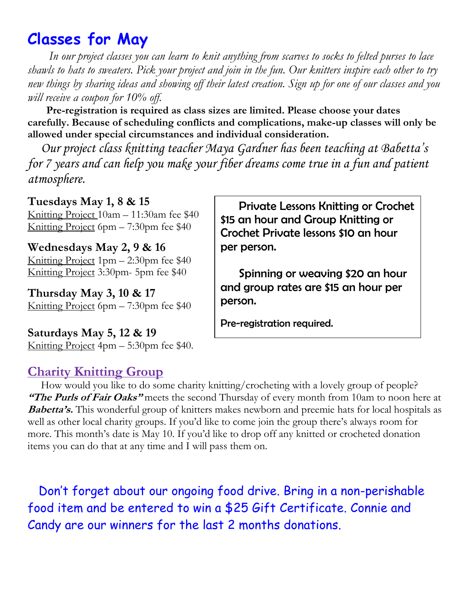## **Classes for May**

 *In our project classes you can learn to knit anything from scarves to socks to felted purses to lace shawls to hats to sweaters. Pick your project and join in the fun. Our knitters inspire each other to try new things by sharing ideas and showing off their latest creation. Sign up for one of our classes and you will receive a coupon for 10% off.*

 **Pre-registration is required as class sizes are limited. Please choose your dates carefully. Because of scheduling conflicts and complications, make-up classes will only be allowed under special circumstances and individual consideration.**

*Our project class knitting teacher Maya Gardner has been teaching at Babetta's for 7 years and can help you make your fiber dreams come true in a fun and patient atmosphere.*

#### **Tuesdays May 1, 8 & 15**

Knitting Project 10am – 11:30am fee \$40 Knitting Project 6pm – 7:30pm fee \$40

**Wednesdays May 2, 9 & 16**

Knitting Project 1pm – 2:30pm fee \$40 Knitting Project 3:30pm- 5pm fee \$40

**Thursday May 3, 10 & 17** Knitting Project 6pm – 7:30pm fee \$40

**Saturdays May 5, 12 & 19**

Knitting Project 4pm – 5:30pm fee \$40.

#### **Charity Knitting Group**

 How would you like to do some charity knitting/crocheting with a lovely group of people? **"The Purls of Fair Oaks"** meets the second Thursday of every month from 10am to noon here at **Babetta's.** This wonderful group of knitters makes newborn and preemie hats for local hospitals as well as other local charity groups. If you'd like to come join the group there's always room for more. This month's date is May 10. If you'd like to drop off any knitted or crocheted donation items you can do that at any time and I will pass them on.

 Don't forget about our ongoing food drive. Bring in a non-perishable food item and be entered to win a \$25 Gift Certificate. Connie and Candy are our winners for the last 2 months donations.

 Private Lessons Knitting or Crochet \$15 an hour and Group Knitting or Crochet Private lessons \$10 an hour per person.

 Spinning or weaving \$20 an hour and group rates are \$15 an hour per person.

Pre-registration required.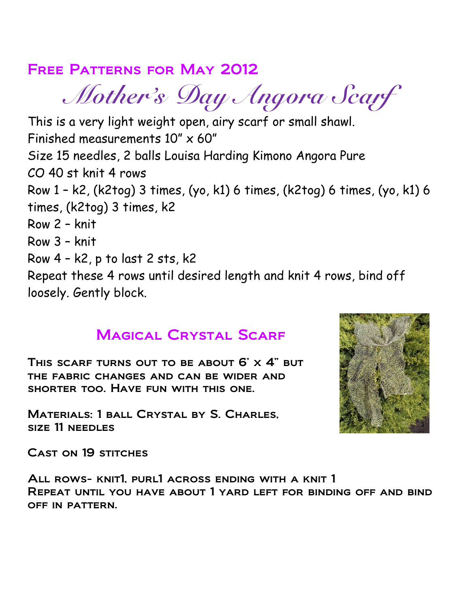### Free Patterns for May 2012

 *Mother's Day Angora Scarf*

This is a very light weight open, airy scarf or small shawl. Finished measurements 10" x 60" Size 15 needles, 2 balls Louisa Harding Kimono Angora Pure CO 40 st knit 4 rows Row 1 – k2, (k2tog) 3 times, (yo, k1) 6 times, (k2tog) 6 times, (yo, k1) 6 times, (k2tog) 3 times, k2 Row 2 – knit Row 3 – knit Row 4 – k2, p to last 2 sts, k2 Repeat these 4 rows until desired length and knit 4 rows, bind off loosely. Gently block.

### Magical Crystal Scarf

THIS SCARF TURNS OUT TO BE ABOUT  $6' \times 4''$  but the fabric changes and can be wider and shorter too. Have fun with this one.

Materials: 1 ball Crystal by S. Charles, size 11 needles



CAST ON 19 STITCHES

All rows- knit1, purl1 across ending with a knit 1 Repeat until you have about 1 yard left for binding off and bind off in pattern.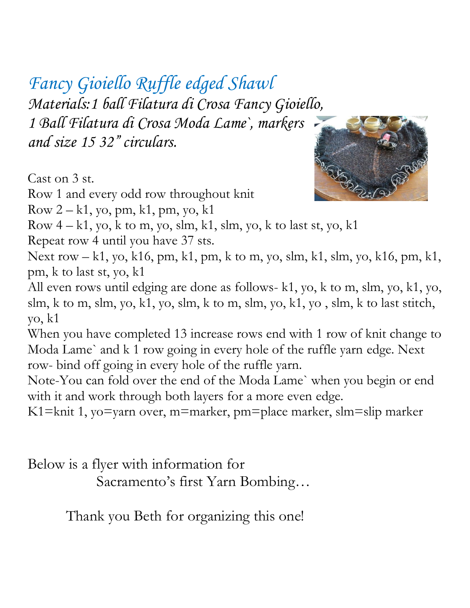*Fancy Gioiello Ruffle edged Shawl Materials:1 ball Filatura di Crosa Fancy Gioiello, 1 Ball Filatura di Crosa Moda Lame`, markers and size 15 32" circulars.*

Cast on 3 st.

Row 1 and every odd row throughout knit

Row  $2 - k1$ , yo, pm, k1, pm, yo, k1



Row  $4 - k1$ , yo, k to m, yo, slm, k1, slm, yo, k to last st, yo, k1

Repeat row 4 until you have 37 sts.

Next row – k1, yo, k16, pm, k1, pm, k to m, yo, slm, k1, slm, yo, k16, pm, k1, pm, k to last st, yo, k1

All even rows until edging are done as follows- k1, yo, k to m, slm, yo, k1, yo, slm, k to m, slm, yo, k1, yo, slm, k to m, slm, yo, k1, yo , slm, k to last stitch, yo, k1

When you have completed 13 increase rows end with 1 row of knit change to Moda Lame` and k 1 row going in every hole of the ruffle yarn edge. Next row- bind off going in every hole of the ruffle yarn.

Note-You can fold over the end of the Moda Lame` when you begin or end with it and work through both layers for a more even edge.

K1=knit 1, yo=yarn over, m=marker, pm=place marker, slm=slip marker

Below is a flyer with information for

Sacramento's first Yarn Bombing…

Thank you Beth for organizing this one!